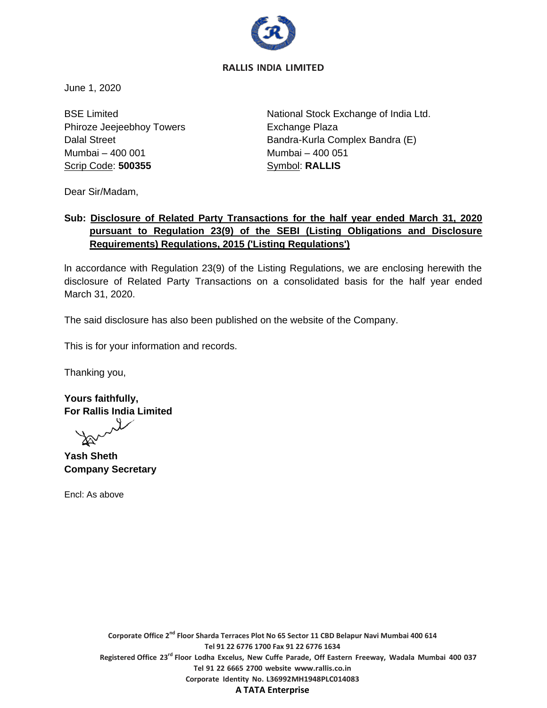

# **RALLIS INDIA LIMITED**

June 1, 2020

BSE Limited Phiroze Jeejeebhoy Towers Dalal Street Mumbai – 400 001 Scrip Code: **500355**

National Stock Exchange of India Ltd. Exchange Plaza Bandra-Kurla Complex Bandra (E) Mumbai – 400 051 Symbol: **RALLIS**

Dear Sir/Madam,

# **Sub: Disclosure of Related Party Transactions for the half year ended March 31, 2020 pursuant to Regulation 23(9) of the SEBI (Listing Obligations and Disclosure Requirements) Regulations, 2015 ('Listing Regulations')**

ln accordance with Regulation 23(9) of the Listing Regulations, we are enclosing herewith the disclosure of Related Party Transactions on a consolidated basis for the half year ended March 31, 2020.

The said disclosure has also been published on the website of the Company.

This is for your information and records.

Thanking you,

**Yours faithfully, For Rallis India Limited**

**Yash Sheth Company Secretary**

Encl: As above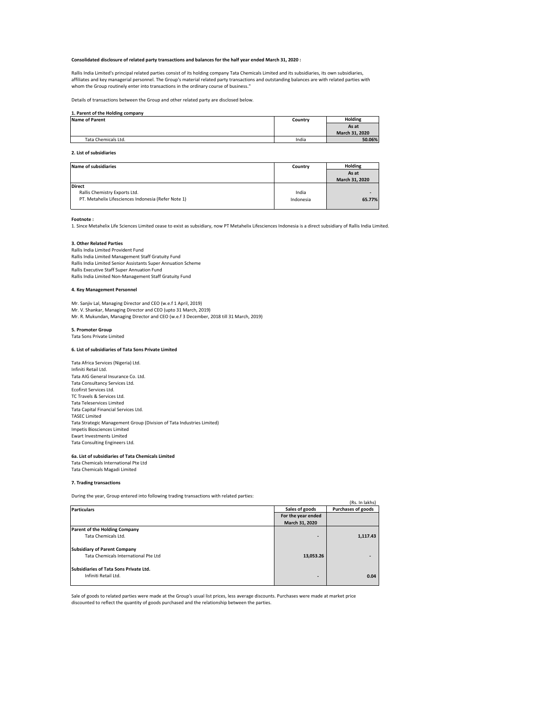#### **Consolidated disclosure of related party transactions and balances for the half year ended March 31, 2020 :**

Rallis India Limited's principal related parties consist of its holding company Tata Chemicals Limited and its subsidiaries, its own subsidiaries, affiliates and key managerial personnel. The Group's material related party transactions and outstanding balances are with related parties with whom the Group routinely enter into transactions in the ordinary course of business."

Details of transactions between the Group and other related party are disclosed below.

#### **1. Parent of the Holding company**

| <b>Name of Parent</b> | Country | <b>Holding</b> |
|-----------------------|---------|----------------|
|                       |         | As at          |
|                       |         | March 31, 2020 |
| Tata Chemicals Ltd.   | India   | 50.06%         |

#### **2. List of subsidiaries**

| <b>Name of subsidiaries</b>                         | Country   | Holding        |
|-----------------------------------------------------|-----------|----------------|
|                                                     |           | As at          |
|                                                     |           | March 31, 2020 |
| <b>Direct</b>                                       |           |                |
| Rallis Chemistry Exports Ltd.                       | India     | ۰              |
| PT. Metahelix Lifesciences Indonesia (Refer Note 1) | Indonesia | 65.77%         |

**Footnote :** 

1. Since Metahelix Life Sciences Limited cease to exist as subsidiary, now PT Metahelix Lifesciences Indonesia is a direct subsidiary of Rallis India Limited.

#### **3. Other Related Parties**

Rallis India Limited Provident Fund Rallis India Limited Management Staff Gratuity Fund Rallis India Limited Senior Assistants Super Annuation Scheme Rallis Executive Staff Super Annuation Fund Rallis India Limited Non-Management Staff Gratuity Fund

#### **4. Key Management Personnel**

Mr. Sanjiv Lal, Managing Director and CEO (w.e.f 1 April, 2019) Mr. V. Shankar, Managing Director and CEO (upto 31 March, 2019) Mr. R. Mukundan, Managing Director and CEO (w.e.f 3 December, 2018 till 31 March, 2019)

#### **5. Promoter Group** Tata Sons Private Limited

### **6. List of subsidiaries of Tata Sons Private Limited**

Tata Africa Services (Nigeria) Ltd. Infiniti Retail Ltd. Tata AIG General Insurance Co. Ltd. Tata Consultancy Services Ltd. Ecofirst Services Ltd. TC Travels & Services Ltd. Tata Teleservices Limited Tata Capital Financial Services Ltd. TASEC Limited Tata Strategic Management Group (Division of Tata Industries Limited) Impetis Biosciences Limited Ewart Investments Limited Tata Consulting Engineers Ltd.

## **6a. List of subsidiaries of Tata Chemicals Limited**

Tata Chemicals International Pte Ltd Tata Chemicals Magadi Limited

#### **7. Trading transactions**

During the year, Group entered into following trading transactions with related parties:

| Daring the year, droup entered mto ronowing trading transactions with related parties. |                    |                           |
|----------------------------------------------------------------------------------------|--------------------|---------------------------|
|                                                                                        |                    | (Rs. In lakhs)            |
| <b>Particulars</b>                                                                     | Sales of goods     | <b>Purchases of goods</b> |
|                                                                                        | For the year ended |                           |
|                                                                                        | March 31, 2020     |                           |
| Parent of the Holding Company                                                          |                    |                           |
| Tata Chemicals Ltd.                                                                    |                    | 1,117.43                  |
| <b>Subsidiary of Parent Company</b>                                                    |                    |                           |
| Tata Chemicals International Pte Ltd                                                   | 13,053.26          |                           |
| Subsidiaries of Tata Sons Private Ltd.                                                 |                    |                           |
| Infiniti Retail Ltd.                                                                   |                    | 0.04                      |

Sale of goods to related parties were made at the Group's usual list prices, less average discounts. Purchases were made at market price discounted to reflect the quantity of goods purchased and the relationship between the parties.